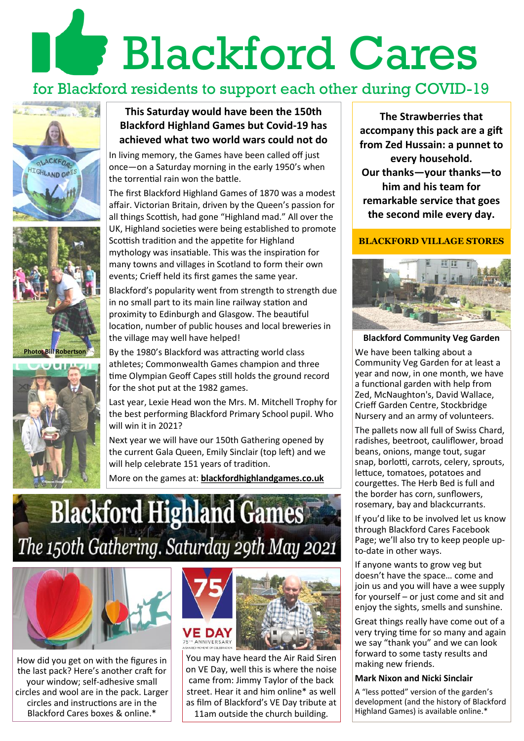# **Blackford Cares**

## for Blackford residents to support each other during COVID-19







#### **This Saturday would have been the 150th Blackford Highland Games but Covid-19 has achieved what two world wars could not do**

In living memory, the Games have been called off just once—on a Saturday morning in the early 1950's when the torrential rain won the battle.

The first Blackford Highland Games of 1870 was a modest affair. Victorian Britain, driven by the Queen's passion for all things Scottish, had gone "Highland mad." All over the UK, Highland societies were being established to promote Scottish tradition and the appetite for Highland mythology was insatiable. This was the inspiration for many towns and villages in Scotland to form their own events; Crieff held its first games the same year.

Blackford's popularity went from strength to strength due in no small part to its main line railway station and proximity to Edinburgh and Glasgow. The beautiful location, number of public houses and local breweries in the village may well have helped!

By the 1980's Blackford was attracting world class athletes; Commonwealth Games champion and three time Olympian Geoff Capes still holds the ground record for the shot put at the 1982 games.

Last year, Lexie Head won the Mrs. M. Mitchell Trophy for the best performing Blackford Primary School pupil. Who will win it in 2021?

Next year we will have our 150th Gathering opened by the current Gala Queen, Emily Sinclair (top left) and we will help celebrate 151 years of tradition.

More on the games at: **blackfordhighlandgames.co.uk**

## **Blackford Highland Games** The 150th Gathering. Saturday 29th May 2021



How did you get on with the figures in the last pack? Here's another craft for your window; self-adhesive small circles and wool are in the pack. Larger circles and instructions are in the Blackford Cares boxes & online.\*



You may have heard the Air Raid Siren on VE Day, well this is where the noise came from: Jimmy Taylor of the back street. Hear it and him online\* as well as film of Blackford's VE Day tribute at 11am outside the church building.

**The Strawberries that accompany this pack are a gift from Zed Hussain: a punnet to every household. Our thanks—your thanks—to him and his team for remarkable service that goes the second mile every day.**

#### **BLACKFORD VILLAGE STORES**



#### **Blackford Community Veg Garden**

We have been talking about a Community Veg Garden for at least a year and now, in one month, we have a functional garden with help from Zed, McNaughton's, David Wallace, Crieff Garden Centre, Stockbridge Nursery and an army of volunteers.

The pallets now all full of Swiss Chard, radishes, beetroot, cauliflower, broad beans, onions, mange tout, sugar snap, borlotti, carrots, celery, sprouts, lettuce, tomatoes, potatoes and courgettes. The Herb Bed is full and the border has corn, sunflowers, rosemary, bay and blackcurrants.

If you'd like to be involved let us know through Blackford Cares Facebook Page; we'll also try to keep people upto-date in other ways.

If anyone wants to grow veg but doesn't have the space… come and join us and you will have a wee supply for yourself – or just come and sit and enjoy the sights, smells and sunshine.

Great things really have come out of a very trying time for so many and again we say "thank you" and we can look forward to some tasty results and making new friends.

#### **Mark Nixon and Nicki Sinclair**

A "less potted" version of the garden's development (and the history of Blackford Highland Games) is available online.\*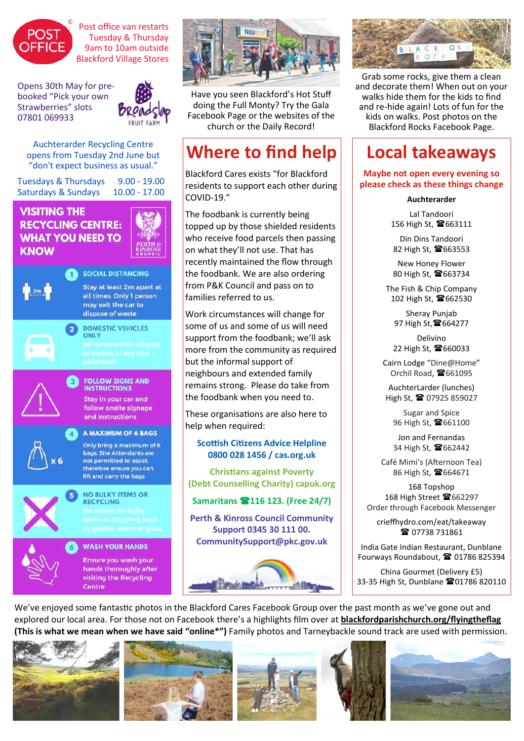

Post office van restarts Tuesday & Thursday 9am to 10am outside Blackford Village Stores

Opens 30th May for prebooked "Pick your own Strawberries" slots 07801 069933



Auchterarder Recycling Centre opens from Tuesday 2nd June but "don't expect business as usual."

Tuesdays & Thursdays 9.00 - 19.00 Saturdays & Sundays 10.00 - 17.00 **VISITING THE RECYCLING CENTRE:** 

# **WHAT YOU NEED TO**



**KNOW** 

**SOCIAL DISTANCING** Stav at least 2m apart at all times. Only 1 person may exit the car to dispose of waste



**DOMESTIC VEHICLES** ONLY



#### **FOLLOW SIGNS AND INSTRUCTIONS** Stay in your car and

follow onsite signage and instructions

#### A MAXIMUM OF 6 BAGS

Only bring a maximum of 6 bags, Site Attendants are not permitted to assist, therefore ensure you can lift and carry the bags



## **RECYCLING**

**NO BULKY ITEMS OR** 

**WASH YOUR HANDS** 

Ensure you wash your hands thoroughly after visiting the Recycling Centre



Have you seen Blackford's Hot Stuff doing the Full Monty? Try the Gala Facebook Page or the websites of the church or the Daily Record!

## **Where to find help**

Blackford Cares exists "for Blackford residents to support each other during COVID-19."

The foodbank is currently being topped up by those shielded residents who receive food parcels then passing on what they'll not use. That has recently maintained the flow through the foodbank. We are also ordering from P&K Council and pass on to families referred to us.

Work circumstances will change for some of us and some of us will need support from the foodbank; we'll ask more from the community as required but the informal support of neighbours and extended family remains strong. Please do take from the foodbank when you need to.

These organisations are also here to help when required:

#### **Scottish Citizens Advice Helpline 0800 028 1456 / cas.org.uk**

**Christians against Poverty (Debt Counselling Charity) capuk.org**

#### **Samaritans 116 123. (Free 24/7)**

**Perth & Kinross Council Community Support 0345 30 111 00. CommunitySupport@pkc.gov.uk**





Grab some rocks, give them a clean and decorate them! When out on your walks hide them for the kids to find and re-hide again! Lots of fun for the kids on walks. Post photos on the Blackford Rocks Facebook Page.

## **Local takeaways**

**Maybe not open every evening so please check as these things change**

#### **Auchterarder**

Lal Tandoori 156 High St, <sup>6</sup>663111

Din Dins Tandoori 82 High St, <sup>6</sup>663553

New Honey Flower 80 High St, <sup>6</sup>663734

The Fish & Chip Company [102 High St,](https://www.tripadvisor.co.uk/Restaurant_Review-g551796-d7257067-Reviews-The_Fish_Chip_Company-Auchterarder_Perth_and_Kinross_Scotland.html#MAPVIEW) <sup>6</sup>[662530](tel:+44%201764%20662530)

Sheray Punjab [97 High St,](https://www.tripadvisor.co.uk/Restaurant_Review-g551796-d1939297-Reviews-Sheray_Punjab-Auchterarder_Perth_and_Kinross_Scotland.html#MAPVIEW) 雷[664277](tel:+44%201764%20664277)

Delivino 22 High St. <sup>6</sup>[660033](tel:+44%201764%20660033)

Cairn Lodge "Dine@Home" Orchil Road, <sup>6</sup>661095

[AuchterLarder](https://www.facebook.com/AuchterLarder/?eid=ARDvSUuCd0OIgBzqqfJVnpmWy_YZHFQq0kLhUi-RBbaWMgqH4CW5_pKVr3DTOjZlEi-jfhQ9_Lk5zIhX) (lunches) High St, 07925 859027

Sugar and Spice 96 High St, <sup>6</sup>661100

Jon and Fernandas 34 High St, <sup>6</sup>662442

Café Mimi's (Afternoon Tea) 86 High St, <sup>6</sup>664671

168 Topshop 168 High Street <sup>16</sup>662297 Order through Facebook Messenger

crieffhydro.com/eat/takeaway ■ 07738 731861

India Gate Indian Restaurant, Dunblane Fourways Roundabout, <sup>2</sup>[01786 825394](tel:01786-82-53-94-82-20-98)

China Gourmet (Delivery £5) 33-[35 High St, Dunblane](https://www.tripadvisor.co.uk/Restaurant_Review-g227126-d2401752-Reviews-China_Gourmet-Dunblane_Scotland.html#MAPVIEW) 2[01786 820110](tel:+44%201786%20820110)

We've enjoyed some fantastic photos in the Blackford Cares Facebook Group over the past month as we've gone out and explored our local area. For those not on Facebook there's a highlights film over at **blackfordparishchurch.org/flyingtheflag (This is what we mean when we have said "online\*")** Family photos and Tarneybackle sound track are used with permission.









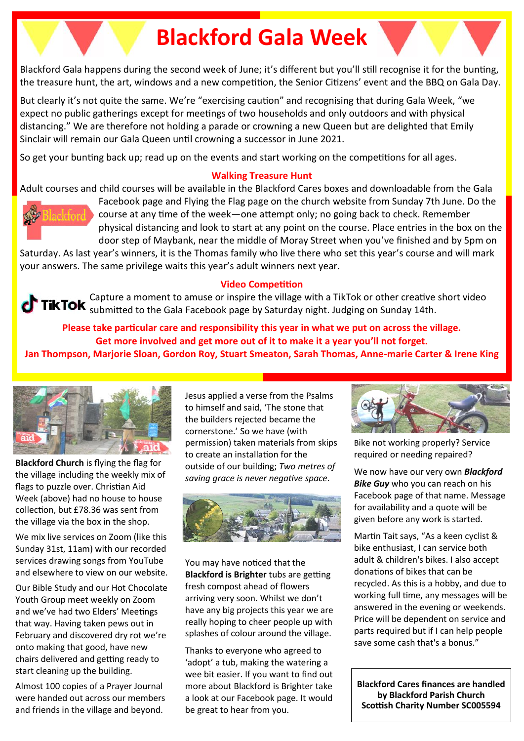## **Blackford Gala Week**

Blackford Gala happens during the second week of June; it's different but you'll still recognise it for the bunting, the treasure hunt, the art, windows and a new competition, the Senior Citizens' event and the BBQ on Gala Day.

But clearly it's not quite the same. We're "exercising caution" and recognising that during Gala Week, "we expect no public gatherings except for meetings of two households and only outdoors and with physical distancing." We are therefore not holding a parade or crowning a new Queen but are delighted that Emily Sinclair will remain our Gala Queen until crowning a successor in June 2021.

So get your bunting back up; read up on the events and start working on the competitions for all ages.

#### **Walking Treasure Hunt**

Adult courses and child courses will be available in the Blackford Cares boxes and downloadable from the Gala



Facebook page and Flying the Flag page on the church website from Sunday 7th June. Do the course at any time of the week—one attempt only; no going back to check. Remember physical distancing and look to start at any point on the course. Place entries in the box on the door step of Maybank, near the middle of Moray Street when you've finished and by 5pm on

Saturday. As last year's winners, it is the Thomas family who live there who set this year's course and will mark your answers. The same privilege waits this year's adult winners next year.

#### **Video Competition**

Capture a moment to amuse or inspire the village with a TikTok or other creative short video submitted to the Gala Facebook page by Saturday night. Judging on Sunday 14th.

**Please take particular care and responsibility this year in what we put on across the village. Get more involved and get more out of it to make it a year you'll not forget. Jan Thompson, Marjorie Sloan, Gordon Roy, Stuart Smeaton, Sarah Thomas, Anne-marie Carter & Irene King**



**Blackford Church** is flying the flag for the village including the weekly mix of flags to puzzle over. Christian Aid Week (above) had no house to house collection, but £78.36 was sent from the village via the box in the shop.

We mix live services on Zoom (like this Sunday 31st, 11am) with our recorded services drawing songs from YouTube and elsewhere to view on our website.

Our Bible Study and our Hot Chocolate Youth Group meet weekly on Zoom and we've had two Elders' Meetings that way. Having taken pews out in February and discovered dry rot we're onto making that good, have new chairs delivered and getting ready to start cleaning up the building.

Almost 100 copies of a Prayer Journal were handed out across our members and friends in the village and beyond.

Jesus applied a verse from the Psalms to himself and said, 'The stone that the builders rejected became the cornerstone.' So we have (with permission) taken materials from skips to create an installation for the outside of our building; *Two metres of saving grace is never negative space*.



You may have noticed that the **Blackford is Brighter** tubs are getting fresh compost ahead of flowers arriving very soon. Whilst we don't have any big projects this year we are really hoping to cheer people up with splashes of colour around the village.

Thanks to everyone who agreed to 'adopt' a tub, making the watering a wee bit easier. If you want to find out more about Blackford is Brighter take a look at our Facebook page. It would be great to hear from you.



Bike not working properly? Service required or needing repaired?

We now have our very own *Blackford Bike Guy* who you can reach on his Facebook page of that name. Message for availability and a quote will be given before any work is started.

Martin Tait says, "As a keen cyclist & bike enthusiast, I can service both adult & children's bikes. I also accept donations of bikes that can be recycled. As this is a hobby, and due to working full time, any messages will be answered in the evening or weekends. Price will be dependent on service and parts required but if I can help people save some cash that's a bonus."

**Blackford Cares finances are handled by Blackford Parish Church Scottish Charity Number SC005594**